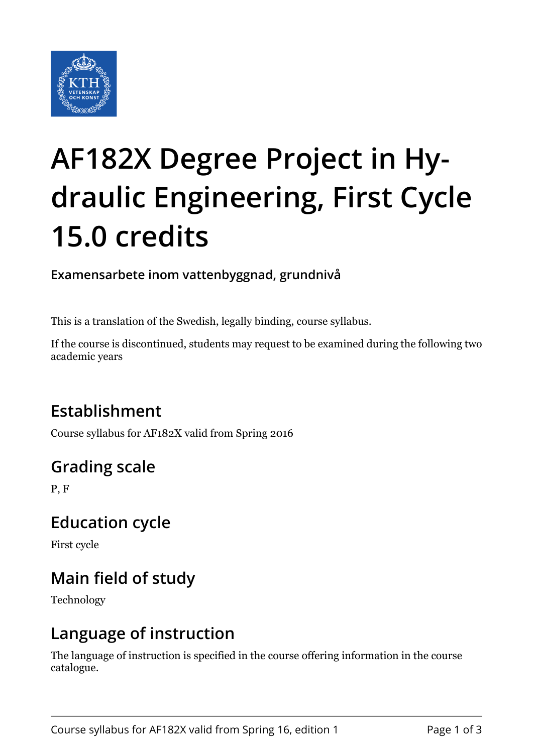

# **AF182X Degree Project in Hydraulic Engineering, First Cycle 15.0 credits**

**Examensarbete inom vattenbyggnad, grundnivå**

This is a translation of the Swedish, legally binding, course syllabus.

If the course is discontinued, students may request to be examined during the following two academic years

# **Establishment**

Course syllabus for AF182X valid from Spring 2016

# **Grading scale**

P, F

#### **Education cycle**

First cycle

# **Main field of study**

Technology

#### **Language of instruction**

The language of instruction is specified in the course offering information in the course catalogue.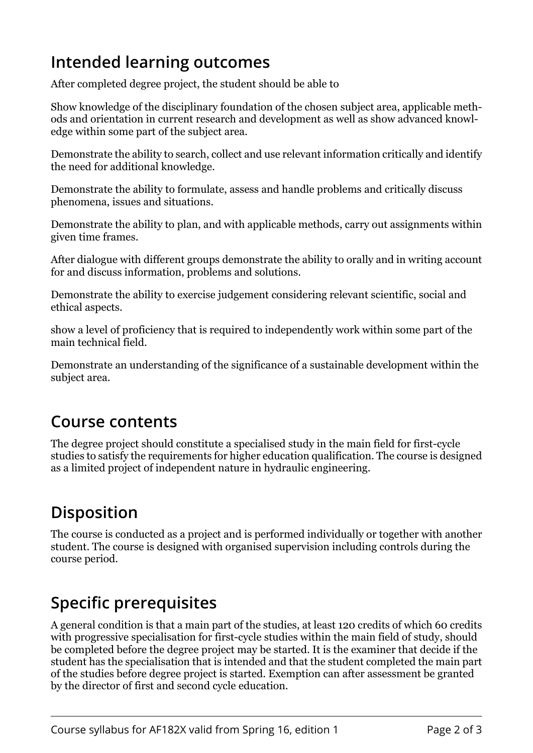## **Intended learning outcomes**

After completed degree project, the student should be able to

Show knowledge of the disciplinary foundation of the chosen subject area, applicable methods and orientation in current research and development as well as show advanced knowledge within some part of the subject area.

Demonstrate the ability to search, collect and use relevant information critically and identify the need for additional knowledge.

Demonstrate the ability to formulate, assess and handle problems and critically discuss phenomena, issues and situations.

Demonstrate the ability to plan, and with applicable methods, carry out assignments within given time frames.

After dialogue with different groups demonstrate the ability to orally and in writing account for and discuss information, problems and solutions.

Demonstrate the ability to exercise judgement considering relevant scientific, social and ethical aspects.

show a level of proficiency that is required to independently work within some part of the main technical field.

Demonstrate an understanding of the significance of a sustainable development within the subject area.

#### **Course contents**

The degree project should constitute a specialised study in the main field for first-cycle studies to satisfy the requirements for higher education qualification. The course is designed as a limited project of independent nature in hydraulic engineering.

# **Disposition**

The course is conducted as a project and is performed individually or together with another student. The course is designed with organised supervision including controls during the course period.

#### **Specific prerequisites**

A general condition is that a main part of the studies, at least 120 credits of which 60 credits with progressive specialisation for first-cycle studies within the main field of study, should be completed before the degree project may be started. It is the examiner that decide if the student has the specialisation that is intended and that the student completed the main part of the studies before degree project is started. Exemption can after assessment be granted by the director of first and second cycle education.